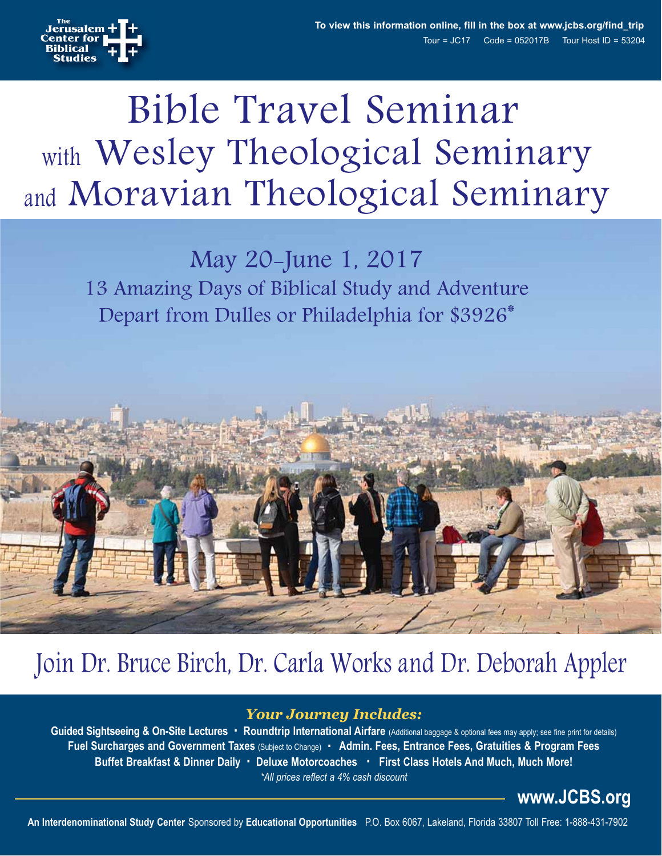

# Bible Travel Seminar with Wesley Theological Seminary and Moravian Theological Seminary

# May 20-June 1, 2017 13 Amazing Days of Biblical Study and Adventure Depart from Dulles or Philadelphia for \$3926\*



# Join Dr. Bruce Birch, Dr. Carla Works and Dr. Deborah Appler

### *Your Journey Includes:*

Guided Sightseeing & On-Site Lectures **·** Roundtrip International Airfare (Additional baggage & optional fees may apply; see fine print for details) **Fuel Surcharges and Government Taxes** (Subject to Change) **. Admin. Fees, Entrance Fees, Gratuities & Program Fees Buffet Breakfast & Dinner Daily . Deluxe Motorcoaches . First Class Hotels And Much, Much More!** *\*All prices reflect a 4% cash discount*

**www.JCBS.org**

**An Interdenominational Study Center** Sponsored by **Educational Opportunities** P.O. Box 6067, Lakeland, Florida 33807 Toll Free: 1-888-431-7902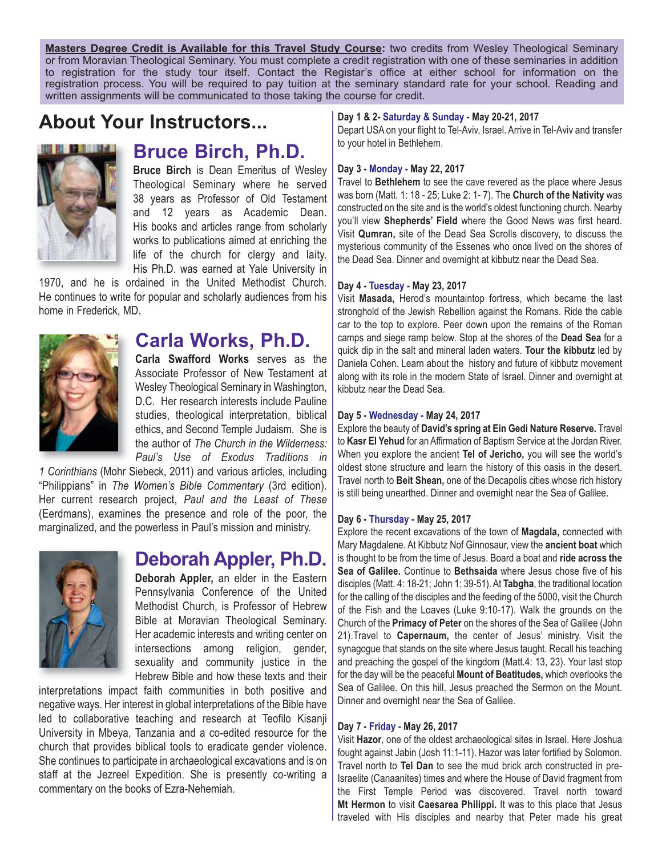**Masters Degree Credit is Available for this Travel Study Course:** two credits from Wesley Theological Seminary or from Moravian Theological Seminary. You must complete a credit registration with one of these seminaries in addition to registration for the study tour itself. Contact the Registar's office at either school for information on the registration process. You will be required to pay tuition at the seminary standard rate for your school. Reading and written assignments will be communicated to those taking the course for credit.

# **About Your Instructors...**



# **Bruce Birch, Ph.D.**

**Bruce Birch** is Dean Emeritus of Wesley Theological Seminary where he served 38 years as Professor of Old Testament and 12 years as Academic Dean. His books and articles range from scholarly works to publications aimed at enriching the life of the church for clergy and laity. His Ph.D. was earned at Yale University in

1970, and he is ordained in the United Methodist Church. He continues to write for popular and scholarly audiences from his home in Frederick, MD.



### **Carla Works, Ph.D.**

**Carla Swafford Works** serves as the Associate Professor of New Testament at Wesley Theological Seminary in Washington, D.C. Her research interests include Pauline studies, theological interpretation, biblical ethics, and Second Temple Judaism. She is the author of *The Church in the Wilderness: Paul's Use of Exodus Traditions in* 

*1 Corinthians* (Mohr Siebeck, 2011) and various articles, including "Philippians" in *The Women's Bible Commentary* (3rd edition). Her current research project, *Paul and the Least of These* (Eerdmans), examines the presence and role of the poor, the marginalized, and the powerless in Paul's mission and ministry.



## **Deborah Appler, Ph.D.**

**Deborah Appler,** an elder in the Eastern Pennsylvania Conference of the United Methodist Church, is Professor of Hebrew Bible at Moravian Theological Seminary. Her academic interests and writing center on intersections among religion, gender, sexuality and community justice in the Hebrew Bible and how these texts and their

interpretations impact faith communities in both positive and negative ways. Her interest in global interpretations of the Bible have led to collaborative teaching and research at Teofilo Kisanji University in Mbeya, Tanzania and a co-edited resource for the church that provides biblical tools to eradicate gender violence. She continues to participate in archaeological excavations and is on staff at the Jezreel Expedition. She is presently co-writing a commentary on the books of Ezra-Nehemiah.

#### **Day 1 & 2- Saturday & Sunday - May 20-21, 2017**

Depart USA on your flight to Tel-Aviv, Israel. Arrive in Tel-Aviv and transfer to your hotel in Bethlehem.

#### **Day 3 - Monday - May 22, 2017**

Travel to **Bethlehem** to see the cave revered as the place where Jesus was born (Matt. 1: 18 - 25; Luke 2: 1- 7). The **Church of the Nativity** was constructed on the site and is the world's oldest functioning church. Nearby you'll view **Shepherds' Field** where the Good News was first heard. Visit **Qumran,** site of the Dead Sea Scrolls discovery, to discuss the mysterious community of the Essenes who once lived on the shores of the Dead Sea. Dinner and overnight at kibbutz near the Dead Sea.

#### **Day 4 - Tuesday - May 23, 2017**

Visit **Masada,** Herod's mountaintop fortress, which became the last stronghold of the Jewish Rebellion against the Romans. Ride the cable car to the top to explore. Peer down upon the remains of the Roman camps and siege ramp below. Stop at the shores of the **Dead Sea** for a quick dip in the salt and mineral laden waters. **Tour the kibbutz** led by Daniela Cohen. Learn about the history and future of kibbutz movement along with its role in the modern State of Israel. Dinner and overnight at kibbutz near the Dead Sea.

#### **Day 5 - Wednesday - May 24, 2017**

Explore the beauty of **David's spring at Ein Gedi Nature Reserve.** Travel to **Kasr El Yehud** for an Affirmation of Baptism Service at the Jordan River. When you explore the ancient **Tel of Jericho,** you will see the world's oldest stone structure and learn the history of this oasis in the desert. Travel north to **Beit Shean,** one of the Decapolis cities whose rich history is still being unearthed. Dinner and overnight near the Sea of Galilee.

#### **Day 6 - Thursday - May 25, 2017**

Explore the recent excavations of the town of **Magdala,** connected with Mary Magdalene. At Kibbutz Nof Ginnosaur, view the **ancient boat** which is thought to be from the time of Jesus. Board a boat and **ride across the Sea of Galilee.** Continue to **Bethsaida** where Jesus chose five of his disciples (Matt. 4: 18-21; John 1: 39-51). At **Tabgha**, the traditional location for the calling of the disciples and the feeding of the 5000, visit the Church of the Fish and the Loaves (Luke 9:10-17). Walk the grounds on the Church of the **Primacy of Peter** on the shores of the Sea of Galilee (John 21).Travel to **Capernaum,** the center of Jesus' ministry. Visit the synagogue that stands on the site where Jesus taught. Recall his teaching and preaching the gospel of the kingdom (Matt.4: 13, 23). Your last stop for the day will be the peaceful **Mount of Beatitudes,** which overlooks the Sea of Galilee. On this hill, Jesus preached the Sermon on the Mount. Dinner and overnight near the Sea of Galilee.

#### **Day 7 - Friday - May 26, 2017**

Visit **Hazor**, one of the oldest archaeological sites in Israel. Here Joshua fought against Jabin (Josh 11:1-11). Hazor was later fortified by Solomon. Travel north to **Tel Dan** to see the mud brick arch constructed in pre-Israelite (Canaanites) times and where the House of David fragment from the First Temple Period was discovered. Travel north toward **Mt Hermon** to visit **Caesarea Philippi.** It was to this place that Jesus traveled with His disciples and nearby that Peter made his great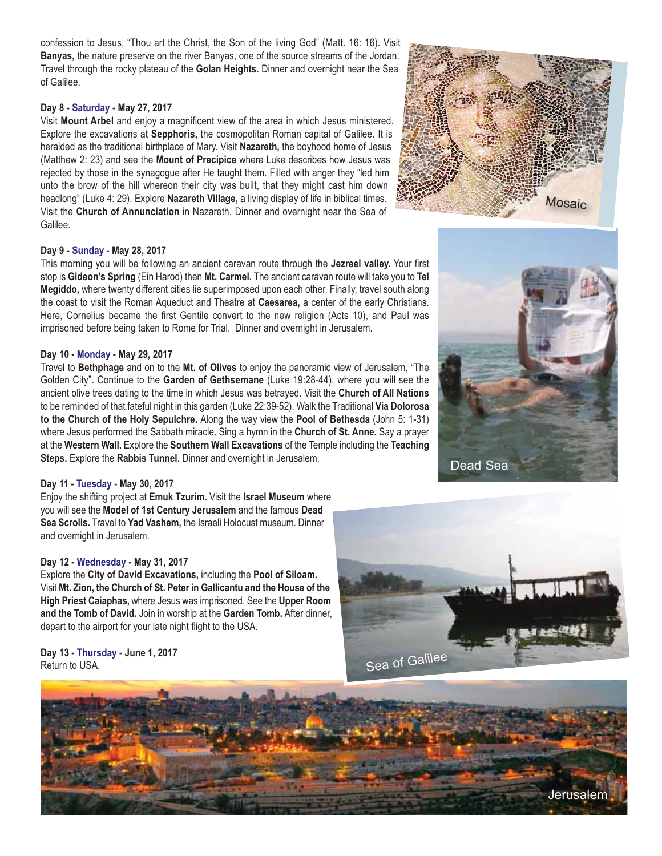confession to Jesus, "Thou art the Christ, the Son of the living God" (Matt. 16: 16). Visit **Banyas,** the nature preserve on the river Banyas, one of the source streams of the Jordan. Travel through the rocky plateau of the **Golan Heights.** Dinner and overnight near the Sea of Galilee.

#### **Day 8 - Saturday - May 27, 2017**

Visit **Mount Arbel** and enjoy a magnificent view of the area in which Jesus ministered. Explore the excavations at **Sepphoris,** the cosmopolitan Roman capital of Galilee. It is heralded as the traditional birthplace of Mary. Visit **Nazareth,** the boyhood home of Jesus (Matthew 2: 23) and see the **Mount of Precipice** where Luke describes how Jesus was rejected by those in the synagogue after He taught them. Filled with anger they "led him unto the brow of the hill whereon their city was built, that they might cast him down headlong" (Luke 4: 29). Explore **Nazareth Village,** a living display of life in biblical times. Visit the **Church of Annunciation** in Nazareth. Dinner and overnight near the Sea of Galilee.



#### **Day 9 - Sunday - May 28, 2017**

This morning you will be following an ancient caravan route through the **Jezreel valley.** Your first stop is **Gideon's Spring** (Ein Harod) then **Mt. Carmel.** The ancient caravan route will take you to **Tel Megiddo,** where twenty different cities lie superimposed upon each other. Finally, travel south along the coast to visit the Roman Aqueduct and Theatre at **Caesarea,** a center of the early Christians. Here, Cornelius became the first Gentile convert to the new religion (Acts 10), and Paul was imprisoned before being taken to Rome for Trial. Dinner and overnight in Jerusalem.

#### **Day 10 - Monday - May 29, 2017**

Travel to **Bethphage** and on to the **Mt. of Olives** to enjoy the panoramic view of Jerusalem, "The Golden City". Continue to the **Garden of Gethsemane** (Luke 19:28-44), where you will see the ancient olive trees dating to the time in which Jesus was betrayed. Visit the **Church of All Nations** to be reminded of that fateful night in this garden (Luke 22:39-52). Walk the Traditional **Via Dolorosa to the Church of the Holy Sepulchre.** Along the way view the **Pool of Bethesda** (John 5: 1-31) where Jesus performed the Sabbath miracle. Sing a hymn in the **Church of St. Anne.** Say a prayer at the **Western Wall.** Explore the **Southern Wall Excavations** of the Temple including the **Teaching Steps.** Explore the **Rabbis Tunnel.** Dinner and overnight in Jerusalem.

#### **Day 11 - Tuesday - May 30, 2017**

Enjoy the shifting project at **Emuk Tzurim.** Visit the **Israel Museum** where you will see the **Model of 1st Century Jerusalem** and the famous **Dead Sea Scrolls.** Travel to **Yad Vashem,** the Israeli Holocust museum. Dinner and overnight in Jerusalem.

#### **Day 12 - Wednesday - May 31, 2017**

Explore the **City of David Excavations,** including the **Pool of Siloam.** Visit **Mt. Zion, the Church of St. Peter in Gallicantu and the House of the High Priest Caiaphas,** where Jesus was imprisoned. See the **Upper Room and the Tomb of David.** Join in worship at the **Garden Tomb.** After dinner, depart to the airport for your late night flight to the USA.

**Day 13 - Thursday - June 1, 2017** Return to USA.